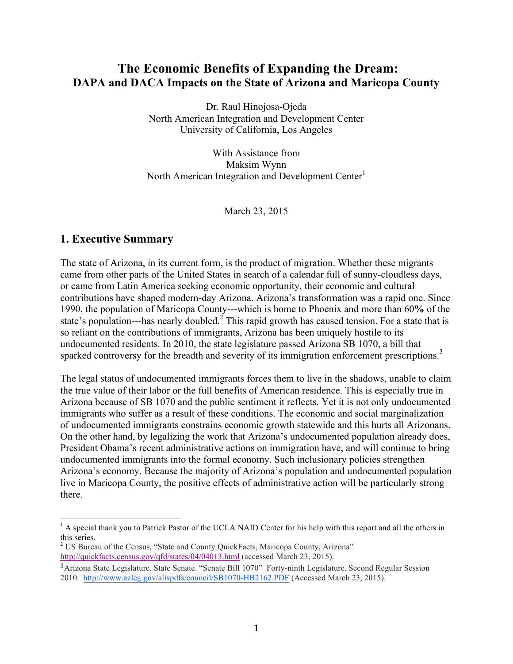# **The Economic Benefits of Expanding the Dream: DAPA and DACA Impacts on the State of Arizona and Maricopa County**

Dr. Raul Hinojosa-Ojeda North American Integration and Development Center University of California, Los Angeles

With Assistance from Maksim Wynn North American Integration and Development Center $<sup>1</sup>$ </sup>

March 23, 2015

## **1. Executive Summary**

The state of Arizona, in its current form, is the product of migration. Whether these migrants came from other parts of the United States in search of a calendar full of sunny-cloudless days, or came from Latin America seeking economic opportunity, their economic and cultural contributions have shaped modern-day Arizona. Arizona's transformation was a rapid one. Since 1990, the population of Maricopa County---which is home to Phoenix and more than 60**%** of the state's population---has nearly doubled.<sup>2</sup> This rapid growth has caused tension. For a state that is so reliant on the contributions of immigrants, Arizona has been uniquely hostile to its undocumented residents. In 2010, the state legislature passed Arizona SB 1070, a bill that sparked controversy for the breadth and severity of its immigration enforcement prescriptions.<sup>3</sup>

The legal status of undocumented immigrants forces them to live in the shadows, unable to claim the true value of their labor or the full benefits of American residence. This is especially true in Arizona because of SB 1070 and the public sentiment it reflects. Yet it is not only undocumented immigrants who suffer as a result of these conditions. The economic and social marginalization of undocumented immigrants constrains economic growth statewide and this hurts all Arizonans. On the other hand, by legalizing the work that Arizona's undocumented population already does, President Obama's recent administrative actions on immigration have, and will continue to bring undocumented immigrants into the formal economy. Such inclusionary policies strengthen Arizona's economy. Because the majority of Arizona's population and undocumented population live in Maricopa County, the positive effects of administrative action will be particularly strong there.

 $<sup>1</sup>$  A special thank you to Patrick Pastor of the UCLA NAID Center for his help with this report and all the others in</sup> this series.

<sup>&</sup>lt;sup>2</sup> US Bureau of the Census, "State and County QuickFacts, Maricopa County, Arizona" http://quickfacts.census.gov/qfd/states/04/04013.html (accessed March 23, 2015).

<sup>3</sup>Arizona State Legislature. State Senate. "Senate Bill 1070" Forty-ninth Legislature. Second Regular Session 2010. http://www.azleg.gov/alispdfs/council/SB1070-HB2162.PDF (Accessed March 23, 2015).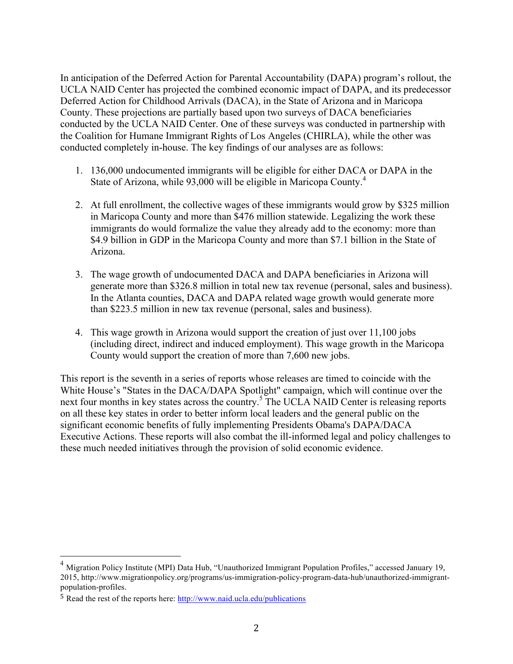In anticipation of the Deferred Action for Parental Accountability (DAPA) program's rollout, the UCLA NAID Center has projected the combined economic impact of DAPA, and its predecessor Deferred Action for Childhood Arrivals (DACA), in the State of Arizona and in Maricopa County. These projections are partially based upon two surveys of DACA beneficiaries conducted by the UCLA NAID Center. One of these surveys was conducted in partnership with the Coalition for Humane Immigrant Rights of Los Angeles (CHIRLA), while the other was conducted completely in-house. The key findings of our analyses are as follows:

- 1. 136,000 undocumented immigrants will be eligible for either DACA or DAPA in the State of Arizona, while 93,000 will be eligible in Maricopa County.<sup>4</sup>
- 2. At full enrollment, the collective wages of these immigrants would grow by \$325 million in Maricopa County and more than \$476 million statewide. Legalizing the work these immigrants do would formalize the value they already add to the economy: more than \$4.9 billion in GDP in the Maricopa County and more than \$7.1 billion in the State of Arizona.
- 3. The wage growth of undocumented DACA and DAPA beneficiaries in Arizona will generate more than \$326.8 million in total new tax revenue (personal, sales and business). In the Atlanta counties, DACA and DAPA related wage growth would generate more than \$223.5 million in new tax revenue (personal, sales and business).
- 4. This wage growth in Arizona would support the creation of just over 11,100 jobs (including direct, indirect and induced employment). This wage growth in the Maricopa County would support the creation of more than 7,600 new jobs.

This report is the seventh in a series of reports whose releases are timed to coincide with the White House's "States in the DACA/DAPA Spotlight" campaign, which will continue over the next four months in key states across the country.<sup>5</sup> The UCLA NAID Center is releasing reports on all these key states in order to better inform local leaders and the general public on the significant economic benefits of fully implementing Presidents Obama's DAPA/DACA Executive Actions. These reports will also combat the ill-informed legal and policy challenges to these much needed initiatives through the provision of solid economic evidence.

<sup>&</sup>lt;sup>4</sup> Migration Policy Institute (MPI) Data Hub, "Unauthorized Immigrant Population Profiles," accessed January 19, 2015, http://www.migrationpolicy.org/programs/us-immigration-policy-program-data-hub/unauthorized-immigrantpopulation-profiles.

<sup>5</sup> Read the rest of the reports here: http://www.naid.ucla.edu/publications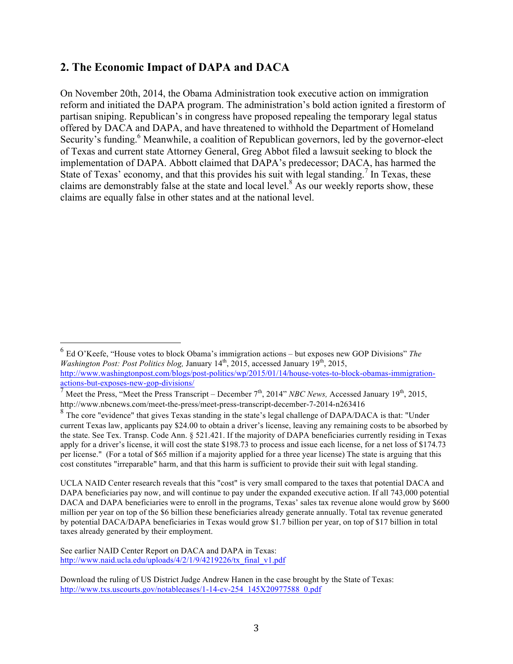## **2. The Economic Impact of DAPA and DACA**

On November 20th, 2014, the Obama Administration took executive action on immigration reform and initiated the DAPA program. The administration's bold action ignited a firestorm of partisan sniping. Republican's in congress have proposed repealing the temporary legal status offered by DACA and DAPA, and have threatened to withhold the Department of Homeland Security's funding.<sup>6</sup> Meanwhile, a coalition of Republican governors, led by the governor-elect of Texas and current state Attorney General, Greg Abbot filed a lawsuit seeking to block the implementation of DAPA. Abbott claimed that DAPA's predecessor; DACA, has harmed the State of Texas' economy, and that this provides his suit with legal standing.<sup> $\prime$ </sup> In Texas, these claims are demonstrably false at the state and local level.<sup>8</sup> As our weekly reports show, these claims are equally false in other states and at the national level.

 <sup>6</sup> Ed O'Keefe, "House votes to block Obama's immigration actions – but exposes new GOP Divisions" *The Washington Post: Post Politics blog, January 14<sup>th</sup>, 2015, accessed January 19<sup>th</sup>, 2015,* http://www.washingtonpost.com/blogs/post-politics/wp/2015/01/14/house-votes-to-block-obamas-immigrationactions-but-exposes-new-gop-divisions/

 $\frac{1}{7}$  Meet the Press, "Meet the Press Transcript – December  $7<sup>th</sup>$ , 2014" *NBC News,* Accessed January 19<sup>th</sup>, 2015, http://www.nbcnews.com/meet-the-press/meet-press-transcript-december-7-2014-n263416

<sup>&</sup>lt;sup>8</sup> The core "evidence" that gives Texas standing in the state's legal challenge of DAPA/DACA is that: "Under current Texas law, applicants pay \$24.00 to obtain a driver's license, leaving any remaining costs to be absorbed by the state. See Tex. Transp. Code Ann. § 521.421. If the majority of DAPA beneficiaries currently residing in Texas apply for a driver's license, it will cost the state \$198.73 to process and issue each license, for a net loss of \$174.73 per license." (For a total of \$65 million if a majority applied for a three year license) The state is arguing that this cost constitutes "irreparable" harm, and that this harm is sufficient to provide their suit with legal standing.

UCLA NAID Center research reveals that this "cost" is very small compared to the taxes that potential DACA and DAPA beneficiaries pay now, and will continue to pay under the expanded executive action. If all 743,000 potential DACA and DAPA beneficiaries were to enroll in the programs, Texas' sales tax revenue alone would grow by \$600 million per year on top of the \$6 billion these beneficiaries already generate annually. Total tax revenue generated by potential DACA/DAPA beneficiaries in Texas would grow \$1.7 billion per year, on top of \$17 billion in total taxes already generated by their employment.

See earlier NAID Center Report on DACA and DAPA in Texas: http://www.naid.ucla.edu/uploads/4/2/1/9/4219226/tx\_final\_v1.pdf

Download the ruling of US District Judge Andrew Hanen in the case brought by the State of Texas: http://www.txs.uscourts.gov/notablecases/1-14-cv-254\_145X20977588\_0.pdf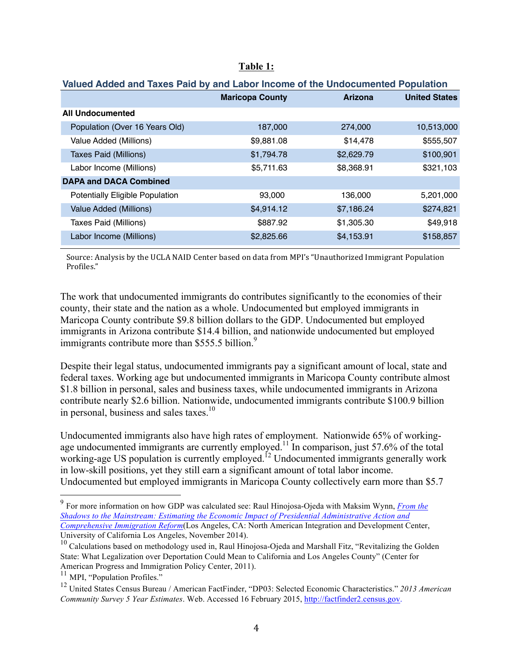|                               | Valued Added and Taxes Paid by and Labor Income of the Undocumented Population |                        |                |                      |
|-------------------------------|--------------------------------------------------------------------------------|------------------------|----------------|----------------------|
|                               |                                                                                | <b>Maricopa County</b> | <b>Arizona</b> | <b>United States</b> |
|                               | <b>All Undocumented</b>                                                        |                        |                |                      |
|                               | Population (Over 16 Years Old)                                                 | 187,000                | 274,000        | 10,513,000           |
|                               | Value Added (Millions)                                                         | \$9,881.08             | \$14,478       | \$555,507            |
|                               | Taxes Paid (Millions)                                                          | \$1,794.78             | \$2,629.79     | \$100,901            |
|                               | Labor Income (Millions)                                                        | \$5,711.63             | \$8,368.91     | \$321,103            |
| <b>DAPA and DACA Combined</b> |                                                                                |                        |                |                      |
|                               | <b>Potentially Eligible Population</b>                                         | 93,000                 | 136,000        | 5,201,000            |
|                               | Value Added (Millions)                                                         | \$4,914.12             | \$7,186.24     | \$274,821            |
|                               | Taxes Paid (Millions)                                                          | \$887.92               | \$1,305.30     | \$49,918             |
|                               | Labor Income (Millions)                                                        | \$2,825.66             | \$4,153.91     | \$158,857            |
|                               |                                                                                |                        |                |                      |

### **Table 1:**

**Valued Added and Taxes Paid by and Labor Income of the Undocumented Population**

Source: Analysis by the UCLA NAID Center based on data from MPI's "Unauthorized Immigrant Population Profiles."

The work that undocumented immigrants do contributes significantly to the economies of their county, their state and the nation as a whole. Undocumented but employed immigrants in Maricopa County contribute \$9.8 billion dollars to the GDP. Undocumented but employed immigrants in Arizona contribute \$14.4 billion, and nationwide undocumented but employed immigrants contribute more than \$555.5 billion.<sup>9</sup>

Despite their legal status, undocumented immigrants pay a significant amount of local, state and federal taxes. Working age but undocumented immigrants in Maricopa County contribute almost \$1.8 billion in personal, sales and business taxes, while undocumented immigrants in Arizona contribute nearly \$2.6 billion. Nationwide, undocumented immigrants contribute \$100.9 billion in personal, business and sales taxes.<sup>10</sup>

Undocumented immigrants also have high rates of employment. Nationwide 65% of workingage undocumented immigrants are currently employed.<sup>11</sup> In comparison, just 57.6% of the total working-age US population is currently employed.<sup>12</sup> Undocumented immigrants generally work in low-skill positions, yet they still earn a significant amount of total labor income. Undocumented but employed immigrants in Maricopa County collectively earn more than \$5.7

 <sup>9</sup> For more information on how GDP was calculated see: Raul Hinojosa-Ojeda with Maksim Wynn, *From the Shadows to the Mainstream: Estimating the Economic Impact of Presidential Administrative Action and Comprehensive Immigration Reform*(Los Angeles, CA: North American Integration and Development Center, University of California Los Angeles, November 2014).

<sup>&</sup>lt;sup>10</sup> Calculations based on methodology used in, Raul Hinojosa-Ojeda and Marshall Fitz, "Revitalizing the Golden State: What Legalization over Deportation Could Mean to California and Los Angeles County" (Center for American Progress and Immigration Policy Center, 2011).

<sup>&</sup>lt;sup>11</sup> MPI, "Population Profiles."

<sup>12</sup> United States Census Bureau / American FactFinder, "DP03: Selected Economic Characteristics." *2013 American Community Survey 5 Year Estimates*. Web. Accessed 16 February 2015, http://factfinder2.census.gov.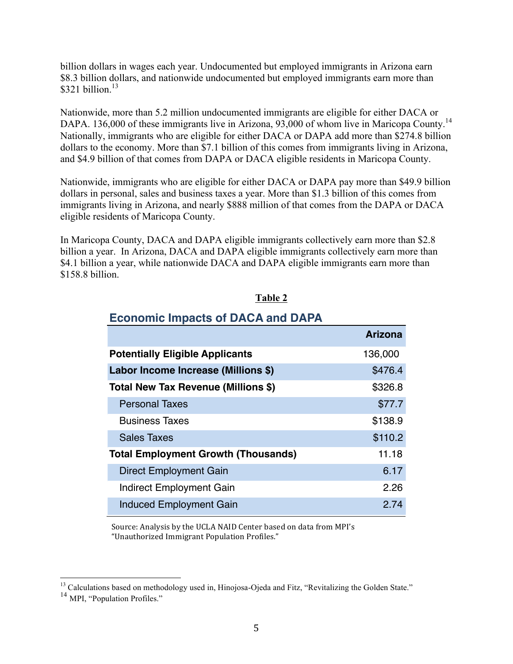billion dollars in wages each year. Undocumented but employed immigrants in Arizona earn \$8.3 billion dollars, and nationwide undocumented but employed immigrants earn more than  $$321 billion.<sup>13</sup>$ 

Nationwide, more than 5.2 million undocumented immigrants are eligible for either DACA or DAPA. 136,000 of these immigrants live in Arizona, 93,000 of whom live in Maricopa County.<sup>14</sup> Nationally, immigrants who are eligible for either DACA or DAPA add more than \$274.8 billion dollars to the economy. More than \$7.1 billion of this comes from immigrants living in Arizona, and \$4.9 billion of that comes from DAPA or DACA eligible residents in Maricopa County.

Nationwide, immigrants who are eligible for either DACA or DAPA pay more than \$49.9 billion dollars in personal, sales and business taxes a year. More than \$1.3 billion of this comes from immigrants living in Arizona, and nearly \$888 million of that comes from the DAPA or DACA eligible residents of Maricopa County.

In Maricopa County, DACA and DAPA eligible immigrants collectively earn more than \$2.8 billion a year. In Arizona, DACA and DAPA eligible immigrants collectively earn more than \$4.1 billion a year, while nationwide DACA and DAPA eligible immigrants earn more than \$158.8 billion.

| <b>Economic Impacts of DACA and DAPA</b>   |                |  |
|--------------------------------------------|----------------|--|
|                                            | <b>Arizona</b> |  |
| <b>Potentially Eligible Applicants</b>     | 136,000        |  |
| Labor Income Increase (Millions \$)        | \$476.4        |  |
| Total New Tax Revenue (Millions \$)        | \$326.8        |  |
| <b>Personal Taxes</b>                      | \$77.7         |  |
| <b>Business Taxes</b>                      | \$138.9        |  |
| <b>Sales Taxes</b>                         | \$110.2        |  |
| <b>Total Employment Growth (Thousands)</b> | 11.18          |  |
| Direct Employment Gain                     | 6.17           |  |
| Indirect Employment Gain                   | 2.26           |  |
| <b>Induced Employment Gain</b>             | 2.74           |  |

#### **Table 2**

## **Economic Impacts of DACA and DAPA**

Source: Analysis by the UCLA NAID Center based on data from MPI's "Unauthorized Immigrant Population Profiles."

<sup>&</sup>lt;sup>13</sup> Calculations based on methodology used in, Hinojosa-Ojeda and Fitz, "Revitalizing the Golden State."

<sup>&</sup>lt;sup>14</sup> MPI, "Population Profiles."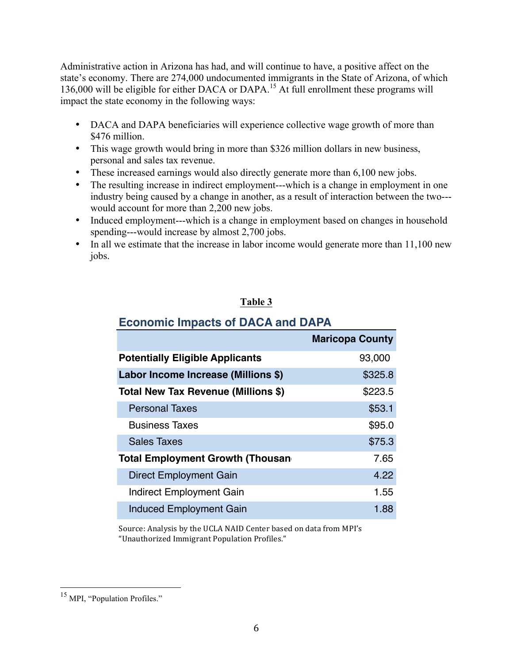Administrative action in Arizona has had, and will continue to have, a positive affect on the state's economy. There are 274,000 undocumented immigrants in the State of Arizona, of which 136,000 will be eligible for either DACA or DAPA.<sup>15</sup> At full enrollment these programs will impact the state economy in the following ways:

- DACA and DAPA beneficiaries will experience collective wage growth of more than \$476 million.
- This wage growth would bring in more than \$326 million dollars in new business, personal and sales tax revenue.
- These increased earnings would also directly generate more than 6,100 new jobs.
- The resulting increase in indirect employment---which is a change in employment in one industry being caused by a change in another, as a result of interaction between the two-- would account for more than 2,200 new jobs.
- Induced employment---which is a change in employment based on changes in household spending---would increase by almost 2,700 jobs.
- In all we estimate that the increase in labor income would generate more than 11,100 new jobs.

## **Table 3**

| $\blacksquare$                          |                        |  |  |
|-----------------------------------------|------------------------|--|--|
|                                         | <b>Maricopa County</b> |  |  |
| <b>Potentially Eligible Applicants</b>  | 93,000                 |  |  |
| Labor Income Increase (Millions \$)     | \$325.8                |  |  |
| Total New Tax Revenue (Millions \$)     | \$223.5                |  |  |
| <b>Personal Taxes</b>                   | \$53.1                 |  |  |
| <b>Business Taxes</b>                   | \$95.0                 |  |  |
| <b>Sales Taxes</b>                      | \$75.3                 |  |  |
| <b>Total Employment Growth (Thousan</b> | 7.65                   |  |  |
| <b>Direct Employment Gain</b>           | 4.22                   |  |  |
| <b>Indirect Employment Gain</b>         | 1.55                   |  |  |
| <b>Induced Employment Gain</b>          | 1.88                   |  |  |

# **Economic Impacts of DACA and DAPA**

Source: Analysis by the UCLA NAID Center based on data from MPI's "Unauthorized Immigrant Population Profiles."

<sup>&</sup>lt;sup>15</sup> MPI, "Population Profiles."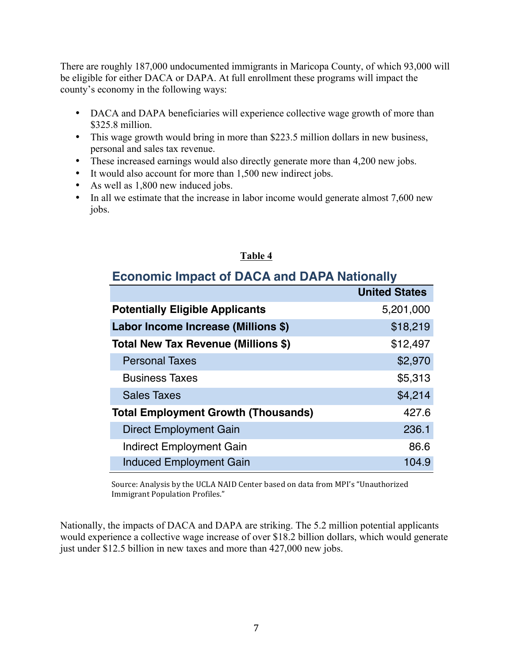There are roughly 187,000 undocumented immigrants in Maricopa County, of which 93,000 will be eligible for either DACA or DAPA. At full enrollment these programs will impact the county's economy in the following ways:

- DACA and DAPA beneficiaries will experience collective wage growth of more than \$325.8 million.
- This wage growth would bring in more than \$223.5 million dollars in new business, personal and sales tax revenue.
- These increased earnings would also directly generate more than 4,200 new jobs.
- It would also account for more than 1,500 new indirect jobs.
- As well as 1,800 new induced jobs.
- In all we estimate that the increase in labor income would generate almost 7,600 new jobs.

### **Table 4**

## **Economic Impact of DACA and DAPA Nationally**

|                                            | <b>United States</b> |
|--------------------------------------------|----------------------|
| <b>Potentially Eligible Applicants</b>     | 5,201,000            |
| Labor Income Increase (Millions \$)        | \$18,219             |
| Total New Tax Revenue (Millions \$)        | \$12,497             |
| <b>Personal Taxes</b>                      | \$2,970              |
| <b>Business Taxes</b>                      | \$5,313              |
| <b>Sales Taxes</b>                         | \$4,214              |
| <b>Total Employment Growth (Thousands)</b> | 427.6                |
| Direct Employment Gain                     | 236.1                |
| Indirect Employment Gain                   | 86.6                 |
| <b>Induced Employment Gain</b>             | 104.9                |

Source: Analysis by the UCLA NAID Center based on data from MPI's "Unauthorized Immigrant Population Profiles."

Nationally, the impacts of DACA and DAPA are striking. The 5.2 million potential applicants would experience a collective wage increase of over \$18.2 billion dollars, which would generate just under \$12.5 billion in new taxes and more than 427,000 new jobs.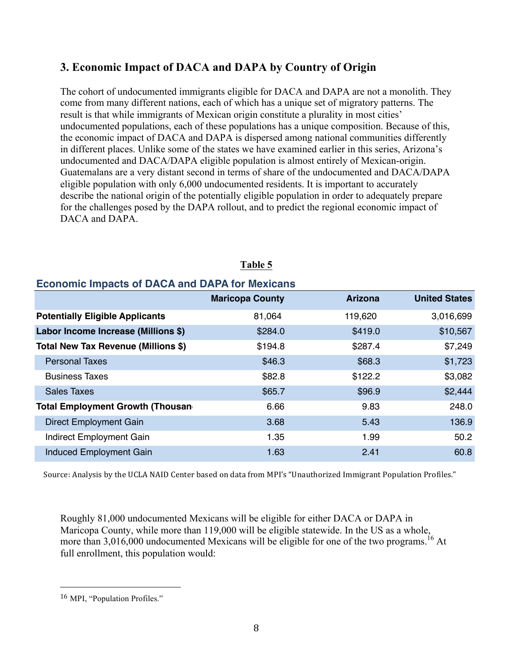# **3. Economic Impact of DACA and DAPA by Country of Origin**

The cohort of undocumented immigrants eligible for DACA and DAPA are not a monolith. They come from many different nations, each of which has a unique set of migratory patterns. The result is that while immigrants of Mexican origin constitute a plurality in most cities' undocumented populations, each of these populations has a unique composition. Because of this, the economic impact of DACA and DAPA is dispersed among national communities differently in different places. Unlike some of the states we have examined earlier in this series, Arizona's undocumented and DACA/DAPA eligible population is almost entirely of Mexican-origin. Guatemalans are a very distant second in terms of share of the undocumented and DACA/DAPA eligible population with only 6,000 undocumented residents. It is important to accurately describe the national origin of the potentially eligible population in order to adequately prepare for the challenges posed by the DAPA rollout, and to predict the regional economic impact of DACA and DAPA.

| LUDINIIU IIIIpaus UI DAUA and DAFA IUI MUNUAIIS |                        |                |                      |
|-------------------------------------------------|------------------------|----------------|----------------------|
|                                                 | <b>Maricopa County</b> | <b>Arizona</b> | <b>United States</b> |
| <b>Potentially Eligible Applicants</b>          | 81,064                 | 119,620        | 3,016,699            |
| Labor Income Increase (Millions \$)             | \$284.0                | \$419.0        | \$10,567             |
| Total New Tax Revenue (Millions \$)             | \$194.8                | \$287.4        | \$7,249              |
| <b>Personal Taxes</b>                           | \$46.3                 | \$68.3         | \$1,723              |
| <b>Business Taxes</b>                           | \$82.8                 | \$122.2        | \$3,082              |
| <b>Sales Taxes</b>                              | \$65.7                 | \$96.9         | \$2,444              |
| <b>Total Employment Growth (Thousan</b>         | 6.66                   | 9.83           | 248.0                |
| <b>Direct Employment Gain</b>                   | 3.68                   | 5.43           | 136.9                |
| Indirect Employment Gain                        | 1.35                   | 1.99           | 50.2                 |
| <b>Induced Employment Gain</b>                  | 1.63                   | 2.41           | 60.8                 |

## **Table 5**

# **Economic Impacts of DACA and DAPA for Mexicans**

Source: Analysis by the UCLA NAID Center based on data from MPI's "Unauthorized Immigrant Population Profiles."

Roughly 81,000 undocumented Mexicans will be eligible for either DACA or DAPA in Maricopa County, while more than 119,000 will be eligible statewide. In the US as a whole, more than  $3,016,000$  undocumented Mexicans will be eligible for one of the two programs.<sup>16</sup> At full enrollment, this population would:

 

<sup>16</sup> MPI, "Population Profiles."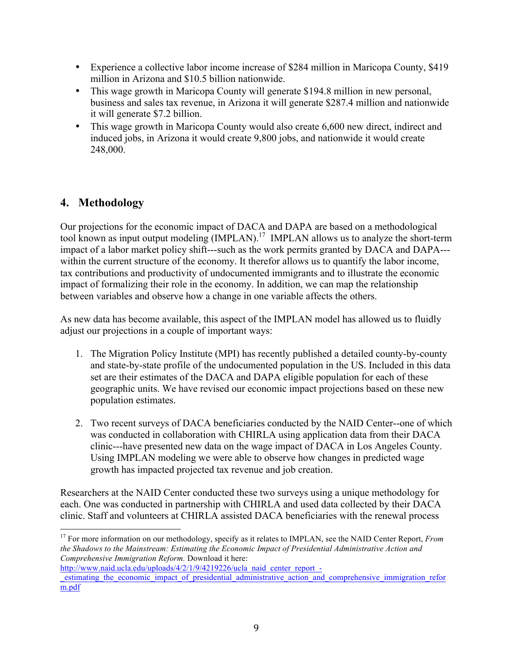- Experience a collective labor income increase of \$284 million in Maricopa County, \$419 million in Arizona and \$10.5 billion nationwide.
- This wage growth in Maricopa County will generate \$194.8 million in new personal, business and sales tax revenue, in Arizona it will generate \$287.4 million and nationwide it will generate \$7.2 billion.
- This wage growth in Maricopa County would also create 6,600 new direct, indirect and induced jobs, in Arizona it would create 9,800 jobs, and nationwide it would create 248,000.

# **4. Methodology**

Our projections for the economic impact of DACA and DAPA are based on a methodological tool known as input output modeling (IMPLAN).<sup>17</sup> IMPLAN allows us to analyze the short-term impact of a labor market policy shift---such as the work permits granted by DACA and DAPA-- within the current structure of the economy. It therefor allows us to quantify the labor income, tax contributions and productivity of undocumented immigrants and to illustrate the economic impact of formalizing their role in the economy. In addition, we can map the relationship between variables and observe how a change in one variable affects the others.

As new data has become available, this aspect of the IMPLAN model has allowed us to fluidly adjust our projections in a couple of important ways:

- 1. The Migration Policy Institute (MPI) has recently published a detailed county-by-county and state-by-state profile of the undocumented population in the US. Included in this data set are their estimates of the DACA and DAPA eligible population for each of these geographic units. We have revised our economic impact projections based on these new population estimates.
- 2. Two recent surveys of DACA beneficiaries conducted by the NAID Center--one of which was conducted in collaboration with CHIRLA using application data from their DACA clinic---have presented new data on the wage impact of DACA in Los Angeles County. Using IMPLAN modeling we were able to observe how changes in predicted wage growth has impacted projected tax revenue and job creation.

Researchers at the NAID Center conducted these two surveys using a unique methodology for each. One was conducted in partnership with CHIRLA and used data collected by their DACA clinic. Staff and volunteers at CHIRLA assisted DACA beneficiaries with the renewal process

<sup>&</sup>lt;sup>17</sup> For more information on our methodology, specify as it relates to IMPLAN, see the NAID Center Report, *From the Shadows to the Mainstream: Estimating the Economic Impact of Presidential Administrative Action and Comprehensive Immigration Reform.* Download it here:

http://www.naid.ucla.edu/uploads/4/2/1/9/4219226/ucla\_naid\_center\_report\_estimating the economic impact of presidential administrative action and comprehensive immigration refor m.pdf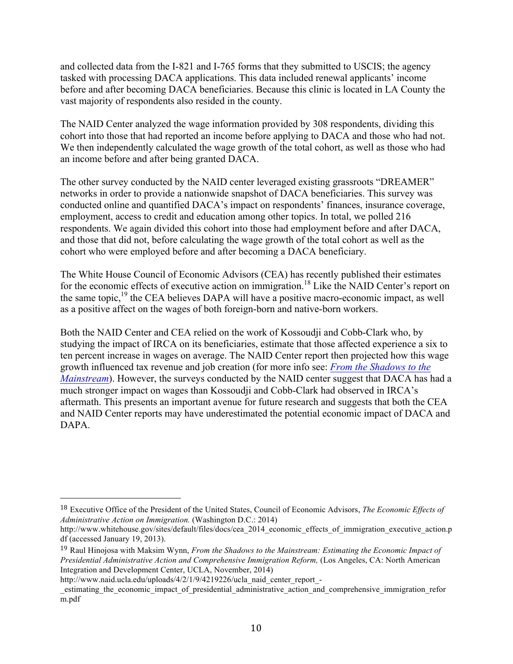and collected data from the I-821 and I-765 forms that they submitted to USCIS; the agency tasked with processing DACA applications. This data included renewal applicants' income before and after becoming DACA beneficiaries. Because this clinic is located in LA County the vast majority of respondents also resided in the county.

The NAID Center analyzed the wage information provided by 308 respondents, dividing this cohort into those that had reported an income before applying to DACA and those who had not. We then independently calculated the wage growth of the total cohort, as well as those who had an income before and after being granted DACA.

The other survey conducted by the NAID center leveraged existing grassroots "DREAMER" networks in order to provide a nationwide snapshot of DACA beneficiaries. This survey was conducted online and quantified DACA's impact on respondents' finances, insurance coverage, employment, access to credit and education among other topics. In total, we polled 216 respondents. We again divided this cohort into those had employment before and after DACA, and those that did not, before calculating the wage growth of the total cohort as well as the cohort who were employed before and after becoming a DACA beneficiary.

The White House Council of Economic Advisors (CEA) has recently published their estimates for the economic effects of executive action on immigration.<sup>18</sup> Like the NAID Center's report on the same topic,<sup>19</sup> the CEA believes DAPA will have a positive macro-economic impact, as well as a positive affect on the wages of both foreign-born and native-born workers.

Both the NAID Center and CEA relied on the work of Kossoudji and Cobb-Clark who, by studying the impact of IRCA on its beneficiaries, estimate that those affected experience a six to ten percent increase in wages on average. The NAID Center report then projected how this wage growth influenced tax revenue and job creation (for more info see: *From the Shadows to the Mainstream*). However, the surveys conducted by the NAID center suggest that DACA has had a much stronger impact on wages than Kossoudji and Cobb-Clark had observed in IRCA's aftermath. This presents an important avenue for future research and suggests that both the CEA and NAID Center reports may have underestimated the potential economic impact of DACA and DAPA.

 

<sup>18</sup> Executive Office of the President of the United States, Council of Economic Advisors, *The Economic Effects of Administrative Action on Immigration.* (Washington D.C.: 2014)

http://www.whitehouse.gov/sites/default/files/docs/cea\_2014\_economic\_effects\_of\_immigration\_executive\_action.p df (accessed January 19, 2013).

<sup>19</sup> Raul Hinojosa with Maksim Wynn, *From the Shadows to the Mainstream: Estimating the Economic Impact of Presidential Administrative Action and Comprehensive Immigration Reform,* (Los Angeles, CA: North American Integration and Development Center, UCLA, November, 2014)

http://www.naid.ucla.edu/uploads/4/2/1/9/4219226/ucla\_naid\_center\_report\_-

\_estimating\_the\_economic\_impact\_of\_presidential\_administrative\_action\_and\_comprehensive\_immigration\_refor m.pdf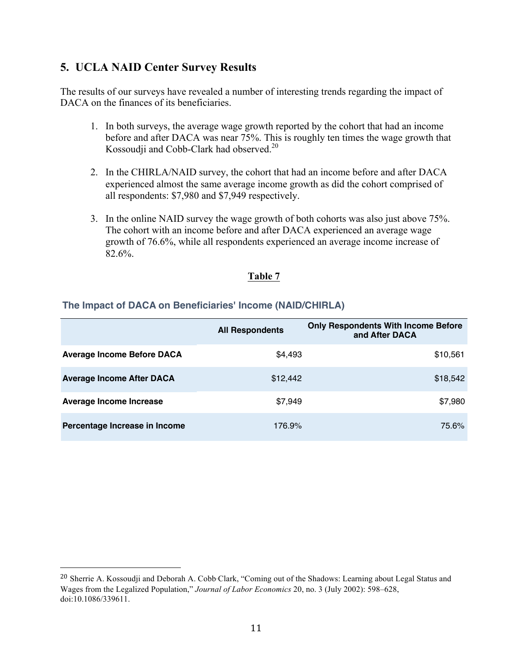## **5. UCLA NAID Center Survey Results**

The results of our surveys have revealed a number of interesting trends regarding the impact of DACA on the finances of its beneficiaries.

- 1. In both surveys, the average wage growth reported by the cohort that had an income before and after DACA was near 75%. This is roughly ten times the wage growth that Kossoudji and Cobb-Clark had observed.<sup>20</sup>
- 2. In the CHIRLA/NAID survey, the cohort that had an income before and after DACA experienced almost the same average income growth as did the cohort comprised of all respondents: \$7,980 and \$7,949 respectively.
- 3. In the online NAID survey the wage growth of both cohorts was also just above 75%. The cohort with an income before and after DACA experienced an average wage growth of 76.6%, while all respondents experienced an average income increase of 82.6%.

### **Table 7**

### **The Impact of DACA on Beneficiaries' Income (NAID/CHIRLA)**

 

|                                   | <b>All Respondents</b> | <b>Only Respondents With Income Before</b><br>and After DACA |
|-----------------------------------|------------------------|--------------------------------------------------------------|
| <b>Average Income Before DACA</b> | \$4,493                | \$10,561                                                     |
| <b>Average Income After DACA</b>  | \$12,442               | \$18,542                                                     |
| Average Income Increase           | \$7,949                | \$7,980                                                      |
| Percentage Increase in Income     | 176.9%                 | 75.6%                                                        |

<sup>20</sup> Sherrie A. Kossoudji and Deborah A. Cobb*‐*Clark, "Coming out of the Shadows: Learning about Legal Status and Wages from the Legalized Population," *Journal of Labor Economics* 20, no. 3 (July 2002): 598–628, doi:10.1086/339611.